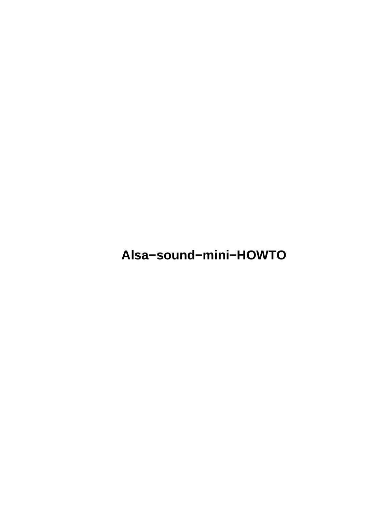**Alsa−sound−mini−HOWTO**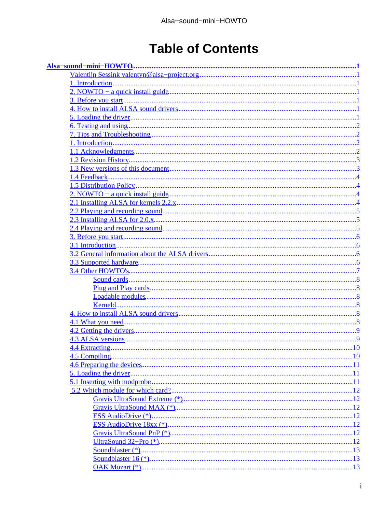# **Table of Contents**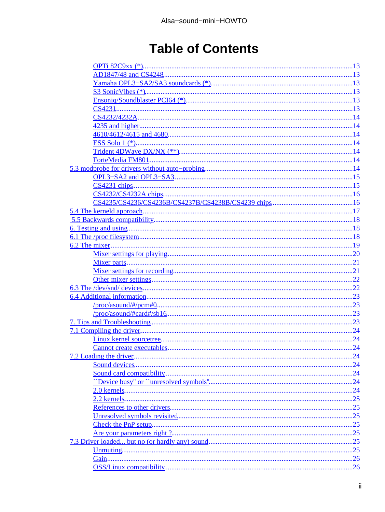# **Table of Contents**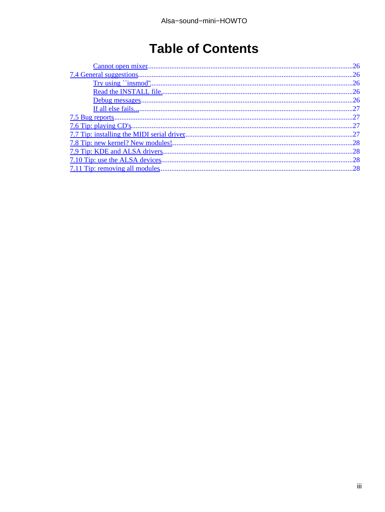# **Table of Contents**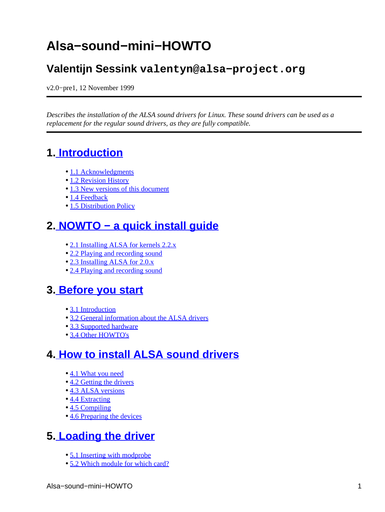# <span id="page-4-0"></span>**Alsa−sound−mini−HOWTO**

### **Valentijn Sessink valentyn@alsa−project.org**

v2.0−pre1, 12 November 1999

*Describes the installation of the ALSA sound drivers for Linux. These sound drivers can be used as a replacement for the regular sound drivers, as they are fully compatible.*

## **1[. Introduction](#page-5-0)**

- [1.1 Acknowledgments](#page-5-0)
- [1.2 Revision History](#page-6-0)
- [1.3 New versions of this document](#page-6-0)
- [1.4 Feedback](#page-7-0)
- [1.5 Distribution Policy](#page-7-0)

### **2[. NOWTO − a quick install guide](#page-7-0)**

- [2.1 Installing ALSA for kernels 2.2.x](#page-7-0)
- [2.2 Playing and recording sound](#page-8-0)
- [2.3 Installing ALSA for 2.0.x](#page-8-0)
- [2.4 Playing and recording sound](#page-8-0)

### **3[. Before you start](#page-9-0)**

- [3.1 Introduction](#page-9-0)
- [3.2 General information about the ALSA drivers](#page-9-0)
- [3.3 Supported hardware](#page-9-0)
- [3.4 Other HOWTO's](#page-10-0)

### **4[. How to install ALSA sound drivers](#page-11-0)**

- [4.1 What you need](#page-11-0)
- [4.2 Getting the drivers](#page-12-0)
- [4.3 ALSA versions](#page-12-0)
- [4.4 Extracting](#page-13-0)
- [4.5 Compiling](#page-13-0)
- [4.6 Preparing the devices](#page-14-0)

### **5[. Loading the driver](#page-14-0)**

- [5.1 Inserting with modprobe](#page-14-0)
- [5.2 Which module for which card?](#page-15-0)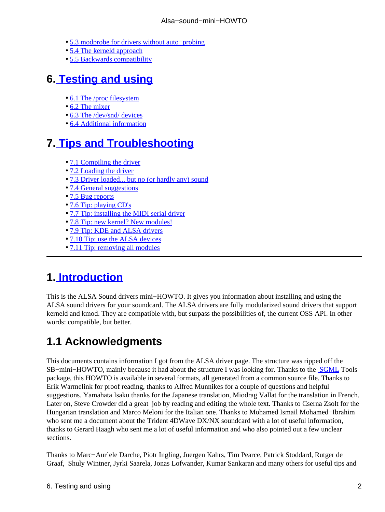- <span id="page-5-0"></span>• [5.3 modprobe for drivers without auto−probing](#page-17-0)
- [5.4 The kerneld approach](#page-20-0)
- [5.5 Backwards compatibility](#page-21-0)

## **6[. Testing and using](#page-21-0)**

- [6.1 The /proc filesystem](#page-21-0)
- [6.2 The mixer](#page-22-0)
- [6.3 The /dev/snd/ devices](#page-25-0)
- [6.4 Additional information](#page-26-0)

## **7[. Tips and Troubleshooting](#page-26-0)**

- [7.1 Compiling the driver](#page-27-0)
- [7.2 Loading the driver](#page-27-0)
- [7.3 Driver loaded... but no \(or hardly any\) sound](#page-28-0)
- [7.4 General suggestions](#page-29-0)
- [7.5 Bug reports](#page-30-0)
- [7.6 Tip: playing CD's](#page-30-0)
- [7.7 Tip: installing the MIDI serial driver](#page-30-0)
- [7.8 Tip: new kernel? New modules!](#page-31-0)
- [7.9 Tip: KDE and ALSA drivers](#page-31-0)
- [7.10 Tip: use the ALSA devices](#page-31-0)
- [7.11 Tip: removing all modules](#page-31-0)

## **1[. Introduction](#page-4-0)**

This is the ALSA Sound drivers mini−HOWTO. It gives you information about installing and using the ALSA sound drivers for your soundcard. The ALSA drivers are fully modularized sound drivers that support kerneld and kmod. They are compatible with, but surpass the possibilities of, the current OSS API. In other words: compatible, but better.

# **1.1 Acknowledgments**

This documents contains information I got from the ALSA driver page. The structure was ripped off the SB−mini−HOWTO, mainly because it had about the structure I was looking for. Thanks to the [SGML](http://www.sgmltools.org) Tools package, this HOWTO is available in several formats, all generated from a common source file. Thanks to Erik Warmelink for proof reading, thanks to Alfred Munnikes for a couple of questions and helpful suggestions. Yamahata Isaku thanks for the Japanese translation, Miodrag Vallat for the translation in French. Later on, Steve Crowder did a great job by reading and editing the whole text. Thanks to Cserna Zsolt for the Hungarian translation and Marco Meloni for the Italian one. Thanks to Mohamed Ismail Mohamed−Ibrahim who sent me a document about the Trident 4DWave DX/NX soundcard with a lot of useful information, thanks to Gerard Haagh who sent me a lot of useful information and who also pointed out a few unclear sections.

Thanks to Marc−Aur`ele Darche, Piotr Ingling, Juergen Kahrs, Tim Pearce, Patrick Stoddard, Rutger de Graaf, Shuly Wintner, Jyrki Saarela, Jonas Lofwander, Kumar Sankaran and many others for useful tips and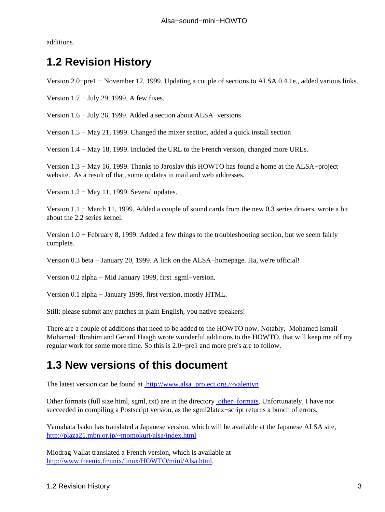<span id="page-6-0"></span>additions.

## **1.2 Revision History**

Version 2.0−pre1 − November 12, 1999. Updating a couple of sections to ALSA 0.4.1e., added various links.

Version 1.7 − July 29, 1999. A few fixes.

Version 1.6 − July 26, 1999. Added a section about ALSA−versions

Version 1.5 − May 21, 1999. Changed the mixer section, added a quick install section

Version 1.4 − May 18, 1999. Included the URL to the French version, changed more URLs.

Version 1.3 − May 16, 1999. Thanks to Jaroslav this HOWTO has found a home at the ALSA−project website. As a result of that, some updates in mail and web addresses.

Version 1.2 − May 11, 1999. Several updates.

Version 1.1 − March 11, 1999. Added a couple of sound cards from the new 0.3 series drivers, wrote a bit about the 2.2 series kernel.

Version 1.0 − February 8, 1999. Added a few things to the troubleshooting section, but we seem fairly complete.

Version 0.3 beta − January 20, 1999. A link on the ALSA−homepage. Ha, we're official!

Version 0.2 alpha − Mid January 1999, first .sgml−version.

Version 0.1 alpha − January 1999, first version, mostly HTML.

Still: please submit any patches in plain English, you native speakers!

There are a couple of additions that need to be added to the HOWTO now. Notably, Mohamed Ismail Mohamed−Ibrahim and Gerard Haagh wrote wonderful additions to the HOWTO, that will keep me off my regular work for some more time. So this is 2.0−pre1 and more pre's are to follow.

## **1.3 New versions of this document**

The latest version can be found at [http://www.alsa−project.org./~valentyn](http://www.alsa-project.org/~valentyn)

Other formats (full size html, sgml, txt) are in the directory [other−formats.](http://www.alsa-project.org/~valentyn/other-formats) Unfortunately, I have not succeeded in compiling a Postscript version, as the sgml2latex−script returns a bunch of errors.

Yamahata Isaku has translated a Japanese version, which will be available at the Japanese ALSA site, <http://plaza21.mbn.or.jp/~momokuri/alsa/index.html>

Miodrag Vallat translated a French version, which is available at [http://www.freenix.fr/unix/linux/HOWTO/mini/Alsa.html.](http://www.freenix.fr/unix/linux/HOWTO/mini/Alsa.html)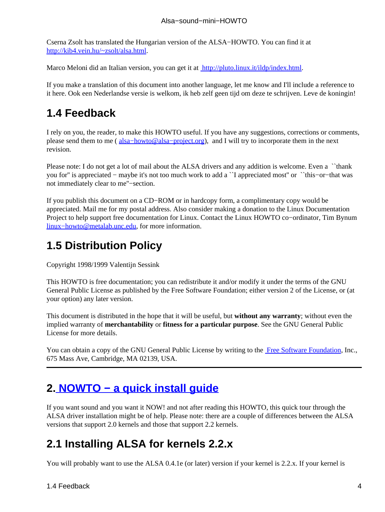<span id="page-7-0"></span>Cserna Zsolt has translated the Hungarian version of the ALSA−HOWTO. You can find it at <http://kib4.vein.hu/~zsolt/alsa.html>.

Marco Meloni did an Italian version, you can get it at <http://pluto.linux.it/ildp/index.html>.

If you make a translation of this document into another language, let me know and I'll include a reference to it here. Ook een Nederlandse versie is welkom, ik heb zelf geen tijd om deze te schrijven. Leve de koningin!

### **1.4 Feedback**

I rely on you, the reader, to make this HOWTO useful. If you have any suggestions, corrections or comments, please send them to me ( [alsa−howto@alsa−project.org](mailto:alsa-howto@alsa-project.org)), and I will try to incorporate them in the next revision.

Please note: I do not get a lot of mail about the ALSA drivers and any addition is welcome. Even a ``thank you for'' is appreciated − maybe it's not too much work to add a ``I appreciated most'' or ``this−or−that was not immediately clear to me''−section.

If you publish this document on a CD−ROM or in hardcopy form, a complimentary copy would be appreciated. Mail me for my postal address. Also consider making a donation to the Linux Documentation Project to help support free documentation for Linux. Contact the Linux HOWTO co−ordinator, Tim Bynum [linux−howto@metalab.unc.edu](mailto:linux-howto@metalab.unc.edu), for more information.

## **1.5 Distribution Policy**

Copyright 1998/1999 Valentijn Sessink

This HOWTO is free documentation; you can redistribute it and/or modify it under the terms of the GNU General Public License as published by the Free Software Foundation; either version 2 of the License, or (at your option) any later version.

This document is distributed in the hope that it will be useful, but **without any warranty**; without even the implied warranty of **merchantability** or **fitness for a particular purpose**. See the GNU General Public License for more details.

You can obtain a copy of the GNU General Public License by writing to the [Free Software Foundation](http://www.fsf.org), Inc., 675 Mass Ave, Cambridge, MA 02139, USA.

## **2[. NOWTO − a quick install guide](#page-4-0)**

If you want sound and you want it NOW! and not after reading this HOWTO, this quick tour through the ALSA driver installation might be of help. Please note: there are a couple of differences between the ALSA versions that support 2.0 kernels and those that support 2.2 kernels.

## **2.1 Installing ALSA for kernels 2.2.x**

You will probably want to use the ALSA 0.4.1e (or later) version if your kernel is 2.2.x. If your kernel is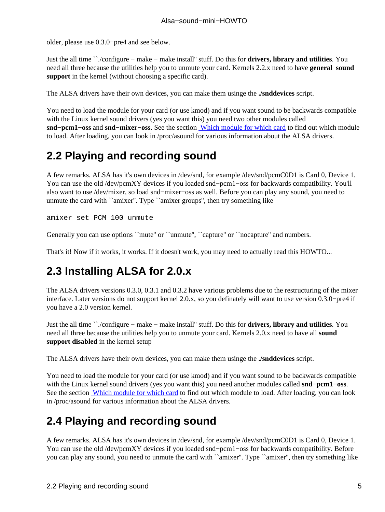<span id="page-8-0"></span>older, please use 0.3.0−pre4 and see below.

Just the all time ``./configure − make − make install'' stuff. Do this for **drivers, library and utilities**. You need all three because the utilities help you to unmute your card. Kernels 2.2.x need to have **general sound support** in the kernel (without choosing a specific card).

The ALSA drivers have their own devices, you can make them usinge the **./snddevices** script.

You need to load the module for your card (or use kmod) and if you want sound to be backwards compatible with the Linux kernel sound drivers (yes you want this) you need two other modules called **snd−pcm1−oss** and **snd−mixer−oss**. See the section [Which module for which card](#page-15-0) to find out which module to load. After loading, you can look in /proc/asound for various information about the ALSA drivers.

## **2.2 Playing and recording sound**

A few remarks. ALSA has it's own devices in /dev/snd, for example /dev/snd/pcmC0D1 is Card 0, Device 1. You can use the old /dev/pcmXY devices if you loaded snd−pcm1−oss for backwards compatibility. You'll also want to use /dev/mixer, so load snd−mixer−oss as well. Before you can play any sound, you need to unmute the card with ``amixer''. Type ``amixer groups'', then try something like

amixer set PCM 100 unmute

Generally you can use options ``mute'' or ``unmute'', ``capture'' or ``nocapture'' and numbers.

That's it! Now if it works, it works. If it doesn't work, you may need to actually read this HOWTO...

## **2.3 Installing ALSA for 2.0.x**

The ALSA drivers versions 0.3.0, 0.3.1 and 0.3.2 have various problems due to the restructuring of the mixer interface. Later versions do not support kernel 2.0.x, so you definately will want to use version 0.3.0−pre4 if you have a 2.0 version kernel.

Just the all time ``./configure − make − make install'' stuff. Do this for **drivers, library and utilities**. You need all three because the utilities help you to unmute your card. Kernels 2.0.x need to have all **sound support disabled** in the kernel setup

The ALSA drivers have their own devices, you can make them usinge the **./snddevices** script.

You need to load the module for your card (or use kmod) and if you want sound to be backwards compatible with the Linux kernel sound drivers (yes you want this) you need another modules called **snd−pcm1−oss**. See the section [Which module for which card](#page-15-0) to find out which module to load. After loading, you can look in /proc/asound for various information about the ALSA drivers.

## **2.4 Playing and recording sound**

A few remarks. ALSA has it's own devices in /dev/snd, for example /dev/snd/pcmC0D1 is Card 0, Device 1. You can use the old /dev/pcmXY devices if you loaded snd−pcm1−oss for backwards compatibility. Before you can play any sound, you need to unmute the card with ``amixer''. Type ``amixer'', then try something like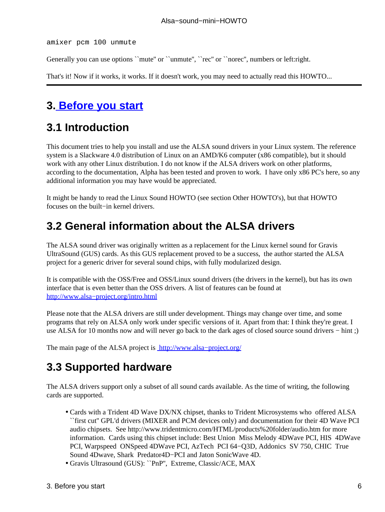<span id="page-9-0"></span>amixer pcm 100 unmute

Generally you can use options ``mute'' or ``unmute'', ``rec'' or ``norec'', numbers or left:right.

That's it! Now if it works, it works. If it doesn't work, you may need to actually read this HOWTO...

### **3[. Before you start](#page-4-0)**

## **3.1 Introduction**

This document tries to help you install and use the ALSA sound drivers in your Linux system. The reference system is a Slackware 4.0 distribution of Linux on an AMD/K6 computer (x86 compatible), but it should work with any other Linux distribution. I do not know if the ALSA drivers work on other platforms, according to the documentation, Alpha has been tested and proven to work. I have only x86 PC's here, so any additional information you may have would be appreciated.

It might be handy to read the Linux Sound HOWTO (see section Other HOWTO's), but that HOWTO focuses on the built−in kernel drivers.

### **3.2 General information about the ALSA drivers**

The ALSA sound driver was originally written as a replacement for the Linux kernel sound for Gravis UltraSound (GUS) cards. As this GUS replacement proved to be a success, the author started the ALSA project for a generic driver for several sound chips, with fully modularized design.

It is compatible with the OSS/Free and OSS/Linux sound drivers (the drivers in the kernel), but has its own interface that is even better than the OSS drivers. A list of features can be found at [http://www.alsa−project.org/intro.html](http://www.alsa-project.org/intro.html)

Please note that the ALSA drivers are still under development. Things may change over time, and some programs that rely on ALSA only work under specific versions of it. Apart from that: I think they're great. I use ALSA for 10 months now and will never go back to the dark ages of closed source sound drivers − hint ;)

The main page of the ALSA project is http://www.alsa-project.org/

### **3.3 Supported hardware**

The ALSA drivers support only a subset of all sound cards available. As the time of writing, the following cards are supported.

- Cards with a Trident 4D Wave DX/NX chipset, thanks to Trident Microsystems who offered ALSA ``first cut'' GPL'd drivers (MIXER and PCM devices only) and documentation for their 4D Wave PCI audio chipsets. See http://www.tridentmicro.com/HTML/products%20folder/audio.htm for more information. Cards using this chipset include: Best Union Miss Melody 4DWave PCI, HIS 4DWave PCI, Warpspeed ONSpeed 4DWave PCI, AzTech PCI 64−Q3D, Addonics SV 750, CHIC True Sound 4Dwave, Shark Predator4D−PCI and Jaton SonicWave 4D.
- Gravis Ultrasound (GUS): ``PnP'', Extreme, Classic/ACE, MAX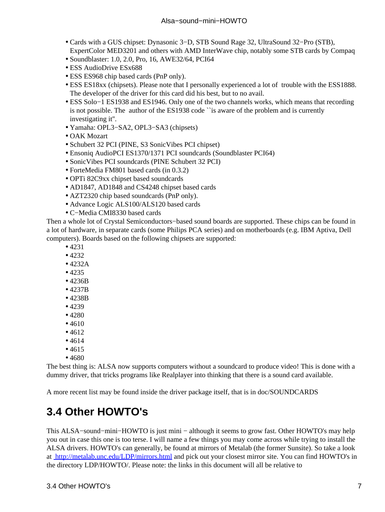- <span id="page-10-0"></span>Cards with a GUS chipset: Dynasonic 3−D, STB Sound Rage 32, UltraSound 32−Pro (STB), • ExpertColor MED3201 and others with AMD InterWave chip, notably some STB cards by Compaq
- Soundblaster: 1.0, 2.0, Pro, 16, AWE32/64, PCI64
- ESS AudioDrive ESx688
- ESS ES968 chip based cards (PnP only).
- ESS ES18xx (chipsets). Please note that I personally experienced a lot of trouble with the ESS1888. The developer of the driver for this card did his best, but to no avail.
- ESS Solo−1 ES1938 and ES1946. Only one of the two channels works, which means that recording is not possible. The author of the ES1938 code ``is aware of the problem and is currently investigating it''.
- Yamaha: OPL3−SA2, OPL3−SA3 (chipsets)
- OAK Mozart
- Schubert 32 PCI (PINE, S3 Sonic Vibes PCI chipset)
- Ensoniq AudioPCI ES1370/1371 PCI soundcards (Soundblaster PCI64)
- SonicVibes PCI soundcards (PINE Schubert 32 PCI)
- ForteMedia FM801 based cards (in 0.3.2)
- OPTi 82C9xx chipset based soundcards
- AD1847, AD1848 and CS4248 chipset based cards
- AZT2320 chip based soundcards (PnP only).
- Advance Logic ALS100/ALS120 based cards
- C−Media CMI8330 based cards

Then a whole lot of Crystal Semiconductors−based sound boards are supported. These chips can be found in a lot of hardware, in separate cards (some Philips PCA series) and on motherboards (e.g. IBM Aptiva, Dell computers). Boards based on the following chipsets are supported:

- 4231
- 4232
- 4232A
- 4235
- 4236B
- 4237B
- 4238B
- 4239
- 4280
- 4610
- $4612$
- 4614
- 4615
- 4680

The best thing is: ALSA now supports computers without a soundcard to produce video! This is done with a dummy driver, that tricks programs like Realplayer into thinking that there is a sound card available.

A more recent list may be found inside the driver package itself, that is in doc/SOUNDCARDS

## **3.4 Other HOWTO's**

This ALSA−sound−mini−HOWTO is just mini − although it seems to grow fast. Other HOWTO's may help you out in case this one is too terse. I will name a few things you may come across while trying to install the ALSA drivers. HOWTO's can generally, be found at mirrors of Metalab (the former Sunsite). So take a look at <http://metalab.unc.edu/LDP/mirrors.html> and pick out your closest mirror site. You can find HOWTO's in the directory LDP/HOWTO/. Please note: the links in this document will all be relative to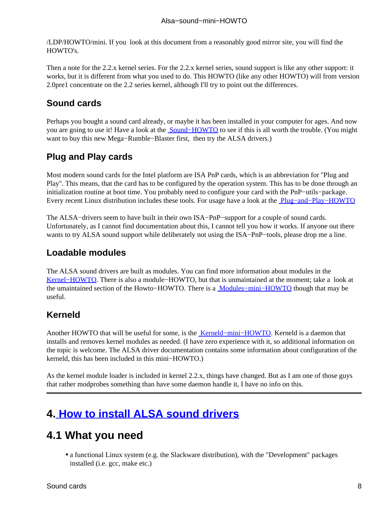<span id="page-11-0"></span>/LDP/HOWTO/mini. If you look at this document from a reasonably good mirror site, you will find the HOWTO's.

Then a note for the 2.2.x kernel series. For the 2.2.x kernel series, sound support is like any other support: it works, but it is different from what you used to do. This HOWTO (like any other HOWTO) will from version 2.0pre1 concentrate on the 2.2 series kernel, although I'll try to point out the differences.

#### **Sound cards**

Perhaps you bought a sound card already, or maybe it has been installed in your computer for ages. And now you are going to use it! Have a look at the [Sound−HOWTO](Sound-HOWTO.html) to see if this is all worth the trouble. (You might want to buy this new Mega−Rumble−Blaster first, then try the ALSA drivers.)

### **Plug and Play cards**

Most modern sound cards for the Intel platform are ISA PnP cards, which is an abbreviation for ''Plug and Play''. This means, that the card has to be configured by the operation system. This has to be done through an initialization routine at boot time. You probably need to configure your card with the PnP−utils−package. Every recent Linux distribution includes these tools. For usage have a look at the [Plug−and−Play−HOWTO](Plug-and-Play-HOWTO.html)

The ALSA−drivers seem to have built in their own ISA−PnP−support for a couple of sound cards. Unfortunately, as I cannot find documentation about this, I cannot tell you how it works. If anyone out there wants to try ALSA sound support while deliberately not using the ISA−PnP–tools, please drop me a line.

#### **Loadable modules**

The ALSA sound drivers are built as modules. You can find more information about modules in the Kernel–HOWTO. There is also a module–HOWTO, but that is unmaintained at the moment; take a look at the umaintained section of the Howto−HOWTO. There is a [Modules−mini−HOWTO](Modules.html) though that may be useful.

#### **Kerneld**

Another HOWTO that will be useful for some, is the [Kerneld−mini−HOWTO.](Kerneld.html) Kerneld is a daemon that installs and removes kernel modules as needed. (I have zero experience with it, so additional information on the topic is welcome. The ALSA driver documentation contains some information about configuration of the kerneld, this has been included in this mini−HOWTO.)

As the kernel module loader is included in kernel 2.2.x, things have changed. But as I am one of those guys that rather modprobes something than have some daemon handle it, I have no info on this.

## **4[. How to install ALSA sound drivers](#page-4-0)**

## **4.1 What you need**

• a functional Linux system (e.g. the Slackware distribution), with the "Development" packages installed (i.e. gcc, make etc.)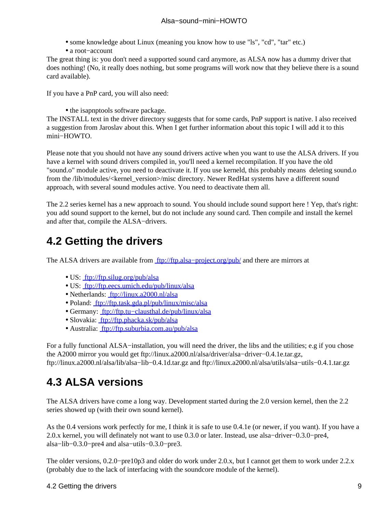- some knowledge about Linux (meaning you know how to use "ls", "cd", "tar" etc.)
- a root−account

<span id="page-12-0"></span>The great thing is: you don't need a supported sound card anymore, as ALSA now has a dummy driver that does nothing! (No, it really does nothing, but some programs will work now that they believe there is a sound card available).

If you have a PnP card, you will also need:

• the isapnptools software package.

The INSTALL text in the driver directory suggests that for some cards, PnP support is native. I also received a suggestion from Jaroslav about this. When I get further information about this topic I will add it to this mini−HOWTO.

Please note that you should not have any sound drivers active when you want to use the ALSA drivers. If you have a kernel with sound drivers compiled in, you'll need a kernel recompilation. If you have the old "sound.o" module active, you need to deactivate it. If you use kerneld, this probably means deleting sound.o from the /lib/modules/<kernel\_version>/misc directory. Newer RedHat systems have a different sound approach, with several sound modules active. You need to deactivate them all.

The 2.2 series kernel has a new approach to sound. You should include sound support here ! Yep, that's right: you add sound support to the kernel, but do not include any sound card. Then compile and install the kernel and after that, compile the ALSA−drivers.

## **4.2 Getting the drivers**

The ALSA drivers are available from ftp://ftp.alsa–project.org/pub/ and there are mirrors at

- US: <ftp://ftp.silug.org/pub/alsa>
- US: <ftp://ftp.eecs.umich.edu/pub/linux/alsa>
- Netherlands: <ftp://linux.a2000.nl/alsa>
- Poland:<ftp://ftp.task.gda.pl/pub/linux/misc/alsa>
- Germany: [ftp://ftp.tu−clausthal.de/pub/linux/alsa](ftp://ftp.tu-clausthal.de/pub/linux/alsa)
- Slovakia:<ftp://ftp.phacka.sk/pub/alsa>
- Australia:<ftp://ftp.suburbia.com.au/pub/alsa>

For a fully functional ALSA−installation, you will need the driver, the libs and the utilities; e.g if you chose the A2000 mirror you would get ftp://linux.a2000.nl/alsa/driver/alsa−driver−0.4.1e.tar.gz, ftp://linux.a2000.nl/alsa/lib/alsa−lib−0.4.1d.tar.gz and ftp://linux.a2000.nl/alsa/utils/alsa−utils−0.4.1.tar.gz

# **4.3 ALSA versions**

The ALSA drivers have come a long way. Development started during the 2.0 version kernel, then the 2.2 series showed up (with their own sound kernel).

As the 0.4 versions work perfectly for me, I think it is safe to use 0.4.1e (or newer, if you want). If you have a 2.0.x kernel, you will definately not want to use 0.3.0 or later. Instead, use alsa−driver−0.3.0−pre4, alsa−lib−0.3.0−pre4 and alsa−utils−0.3.0−pre3.

The older versions, 0.2.0−pre10p3 and older do work under 2.0.x, but I cannot get them to work under 2.2.x (probably due to the lack of interfacing with the soundcore module of the kernel).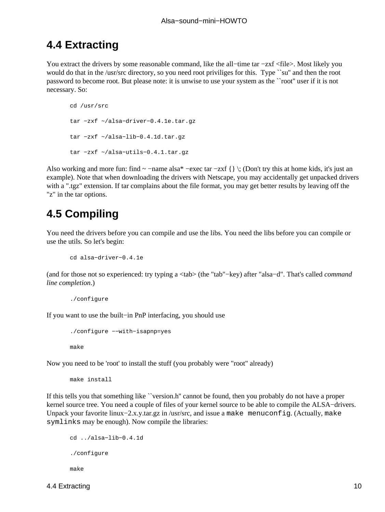### <span id="page-13-0"></span>**4.4 Extracting**

You extract the drivers by some reasonable command, like the all−time tar −zxf <file>. Most likely you would do that in the /usr/src directory, so you need root priviliges for this. Type ``su'' and then the root password to become root. But please note: it is unwise to use your system as the ``root'' user if it is not necessary. So:

```
cd /usr/src
tar −zxf ~/alsa−driver−0.4.1e.tar.gz
tar −zxf ~/alsa−lib−0.4.1d.tar.gz
tar −zxf ~/alsa−utils−0.4.1.tar.gz
```
Also working and more fun: find  $\sim$  −name alsa\* −exec tar −zxf { } \; (Don't try this at home kids, it's just an example). Note that when downloading the drivers with Netscape, you may accidentally get unpacked drivers with a ".tgz" extension. If tar complains about the file format, you may get better results by leaving off the "z" in the tar options.

## **4.5 Compiling**

You need the drivers before you can compile and use the libs. You need the libs before you can compile or use the utils. So let's begin:

```
cd alsa−driver−0.4.1e
```
(and for those not so experienced: try typing a <tab> (the "tab"−key) after "alsa−d". That's called *command line completion*.)

```
./configure
```
If you want to use the built−in PnP interfacing, you should use

```
./configure −−with−isapnp=yes
make
```
Now you need to be 'root' to install the stuff (you probably were "root" already)

make install

If this tells you that something like ``version.h'' cannot be found, then you probably do not have a proper kernel source tree. You need a couple of files of your kernel source to be able to compile the ALSA−drivers. Unpack your favorite linux−2.x.y.tar.gz in /usr/src, and issue a make menuconfig. (Actually, make symlinks may be enough). Now compile the libraries:

```
cd ../alsa−lib−0.4.1d
./configure
make
```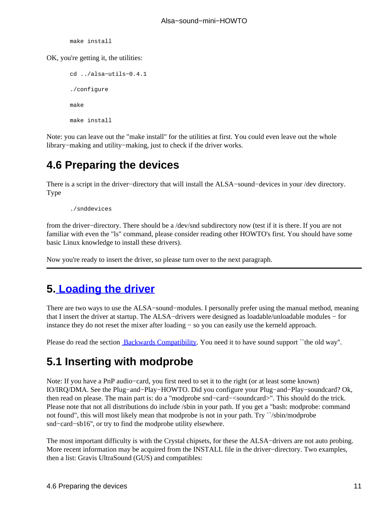make install

<span id="page-14-0"></span>OK, you're getting it, the utilities:

```
cd ../alsa−utils−0.4.1
./configure
make
make install
```
Note: you can leave out the "make install" for the utilities at first. You could even leave out the whole library−making and utility−making, just to check if the driver works.

## **4.6 Preparing the devices**

There is a script in the driver−directory that will install the ALSA−sound−devices in your /dev directory. Type

./snddevices

from the driver−directory. There should be a /dev/snd subdirectory now (test if it is there. If you are not familiar with even the "ls" command, please consider reading other HOWTO's first. You should have some basic Linux knowledge to install these drivers).

Now you're ready to insert the driver, so please turn over to the next paragraph.

## **5[. Loading the driver](#page-4-0)**

There are two ways to use the ALSA−sound−modules. I personally prefer using the manual method, meaning that I insert the driver at startup. The ALSA−drivers were designed as loadable/unloadable modules − for instance they do not reset the mixer after loading − so you can easily use the kerneld approach.

Please do read the section [Backwards Compatibility.](#page-21-0) You need it to have sound support ``the old way".

## **5.1 Inserting with modprobe**

Note: If you have a PnP audio−card, you first need to set it to the right (or at least some known) IO/IRQ/DMA. See the Plug−and−Play−HOWTO. Did you configure your Plug−and−Play−soundcard? Ok, then read on please. The main part is: do a "modprobe snd−card−<soundcard>". This should do the trick. Please note that not all distributions do include /sbin in your path. If you get a "bash: modprobe: command not found", this will most likely mean that modprobe is not in your path. Try ``/sbin/modprobe snd−card−sb16'', or try to find the modprobe utility elsewhere.

The most important difficulty is with the Crystal chipsets, for these the ALSA−drivers are not auto probing. More recent information may be acquired from the INSTALL file in the driver−directory. Two examples, then a list: Gravis UltraSound (GUS) and compatibles: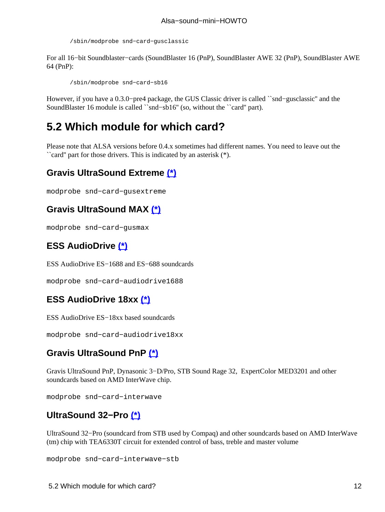/sbin/modprobe snd−card−gusclassic

<span id="page-15-0"></span>For all 16−bit Soundblaster−cards (SoundBlaster 16 (PnP), SoundBlaster AWE 32 (PnP), SoundBlaster AWE 64 (PnP):

/sbin/modprobe snd−card−sb16

However, if you have a 0.3.0−pre4 package, the GUS Classic driver is called ``snd−gusclassic'' and the SoundBlaster 16 module is called ``snd−sb16'' (so, without the ``card'' part).

### **5.2 Which module for which card?**

Please note that ALSA versions before 0.4.x sometimes had different names. You need to leave out the ``card'' part for those drivers. This is indicated by an asterisk (\*).

#### **Gravis UltraSound Extreme [\(\\*\)](#page-17-0)**

modprobe snd−card−gusextreme

#### **Gravis UltraSound MAX [\(\\*\)](#page-17-0)**

modprobe snd−card−gusmax

### **ESS AudioDrive [\(\\*\)](#page-17-0)**

ESS AudioDrive ES−1688 and ES−688 soundcards

```
modprobe snd−card−audiodrive1688
```
#### **ESS AudioDrive 18xx [\(\\*\)](#page-17-0)**

ESS AudioDrive ES−18xx based soundcards

modprobe snd−card−audiodrive18xx

#### **Gravis UltraSound PnP [\(\\*\)](#page-17-0)**

Gravis UltraSound PnP, Dynasonic 3−D/Pro, STB Sound Rage 32, ExpertColor MED3201 and other soundcards based on AMD InterWave chip.

modprobe snd−card−interwave

#### **UltraSound 32−Pro [\(\\*\)](#page-17-0)**

UltraSound 32−Pro (soundcard from STB used by Compaq) and other soundcards based on AMD InterWave (tm) chip with TEA6330T circuit for extended control of bass, treble and master volume

modprobe snd−card−interwave−stb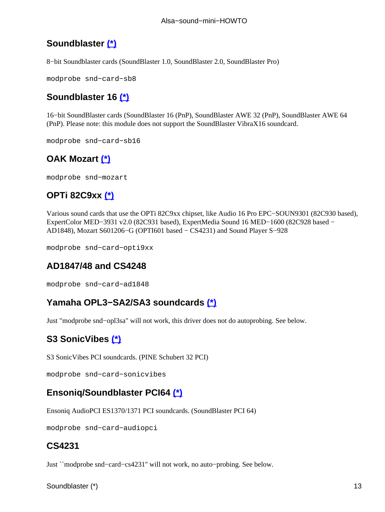### <span id="page-16-0"></span>**Soundblaster [\(\\*\)](#page-17-0)**

8−bit Soundblaster cards (SoundBlaster 1.0, SoundBlaster 2.0, SoundBlaster Pro)

modprobe snd−card−sb8

#### **Soundblaster 16 [\(\\*\)](#page-17-0)**

16−bit SoundBlaster cards (SoundBlaster 16 (PnP), SoundBlaster AWE 32 (PnP), SoundBlaster AWE 64 (PnP). Please note: this module does not support the SoundBlaster VibraX16 soundcard.

modprobe snd−card−sb16

### **OAK Mozart [\(\\*\)](#page-17-0)**

modprobe snd−mozart

### **OPTi 82C9xx [\(\\*\)](#page-17-0)**

Various sound cards that use the OPTi 82C9xx chipset, like Audio 16 Pro EPC−SOUN9301 (82C930 based), ExpertColor MED−3931 v2.0 (82C931 based), ExpertMedia Sound 16 MED−1600 (82C928 based − AD1848), Mozart S601206−G (OPTI601 based − CS4231) and Sound Player S−928

modprobe snd−card−opti9xx

#### **AD1847/48 and CS4248**

modprobe snd−card−ad1848

#### **Yamaha OPL3−SA2/SA3 soundcards [\(\\*\)](#page-17-0)**

Just "modprobe snd−opl3sa" will not work, this driver does not do autoprobing. See below.

### **S3 SonicVibes [\(\\*\)](#page-17-0)**

S3 SonicVibes PCI soundcards. (PINE Schubert 32 PCI)

modprobe snd−card−sonicvibes

#### **Ensoniq/Soundblaster PCI64 [\(\\*\)](#page-17-0)**

Ensoniq AudioPCI ES1370/1371 PCI soundcards. (SoundBlaster PCI 64)

modprobe snd−card−audiopci

#### **CS4231**

Just ``modprobe snd−card−cs4231'' will not work, no auto−probing. See below.

Soundblaster (\*) 13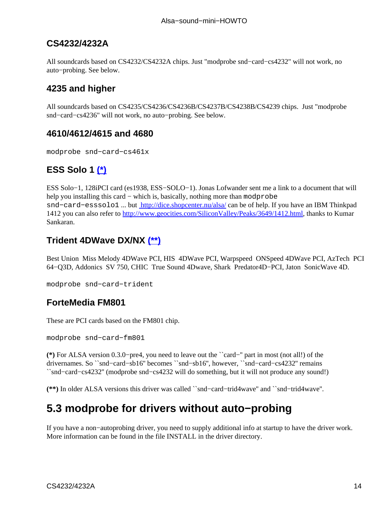#### <span id="page-17-0"></span>**CS4232/4232A**

All soundcards based on CS4232/CS4232A chips. Just "modprobe snd−card−cs4232" will not work, no auto−probing. See below.

### **4235 and higher**

All soundcards based on CS4235/CS4236/CS4236B/CS4237B/CS4238B/CS4239 chips. Just "modprobe snd−card−cs4236" will not work, no auto−probing. See below.

#### **4610/4612/4615 and 4680**

modprobe snd−card−cs461x

### **ESS Solo 1 (\*)**

ESS Solo−1, 128iPCI card (es1938, ESS−SOLO−1). Jonas Lofwander sent me a link to a document that will help you installing this card – which is, basically, nothing more than modprobe snd−card−esssolo1 ... but <http://dice.shopcenter.nu/alsa/>can be of help. If you have an IBM Thinkpad 1412 you can also refer to<http://www.geocities.com/SiliconValley/Peaks/3649/1412.html>, thanks to Kumar Sankaran.

### **Trident 4DWave DX/NX (\*\*)**

Best Union Miss Melody 4DWave PCI, HIS 4DWave PCI, Warpspeed ONSpeed 4DWave PCI, AzTech PCI 64−Q3D, Addonics SV 750, CHIC True Sound 4Dwave, Shark Predator4D−PCI, Jaton SonicWave 4D.

```
modprobe snd−card−trident
```
#### **ForteMedia FM801**

These are PCI cards based on the FM801 chip.

modprobe snd−card−fm801

**(\*)** For ALSA version 0.3.0−pre4, you need to leave out the ``card−'' part in most (not all!) of the drivernames. So ``snd−card−sb16'' becomes ``snd−sb16'', however, ``snd−card−cs4232'' remains ``snd−card−cs4232'' (modprobe snd−cs4232 will do something, but it will not produce any sound!)

**(\*\*)** In older ALSA versions this driver was called ``snd−card−trid4wave'' and ``snd−trid4wave''.

### **5.3 modprobe for drivers without auto−probing**

If you have a non−autoprobing driver, you need to supply additional info at startup to have the driver work. More information can be found in the file INSTALL in the driver directory.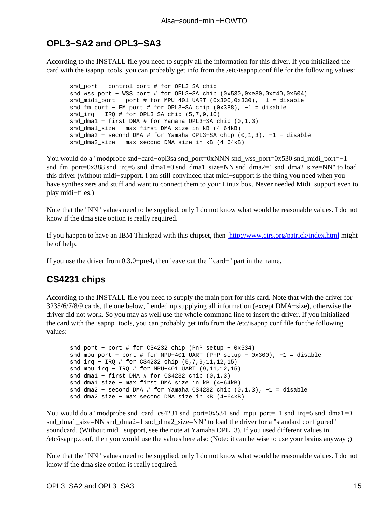#### <span id="page-18-0"></span>**OPL3−SA2 and OPL3−SA3**

According to the INSTALL file you need to supply all the information for this driver. If you initialized the card with the isapnp−tools, you can probably get info from the /etc/isapnp.conf file for the following values:

snd\_port − control port # for OPL3−SA chip snd\_wss\_port − WSS port # for OPL3-SA chip (0x530,0xe80,0xf40,0x604) snd midi\_port - port # for MPU-401 UART  $(0x300,0x330)$ , -1 = disable snd\_fm\_port − FM port # for OPL3−SA chip (0x388), −1 = disable snd\_irq − IRQ # for OPL3−SA chip (5,7,9,10) snd\_dma1 − first DMA # for Yamaha OPL3−SA chip (0,1,3) snd\_dma1\_size − max first DMA size in kB (4−64kB) snd\_dma2 − second DMA # for Yamaha OPL3−SA chip (0,1,3), −1 = disable snd\_dma2\_size − max second DMA size in kB (4−64kB)

You would do a "modprobe snd−card−opl3sa snd\_port=0xNNN snd\_wss\_port=0x530 snd\_midi\_port=−1 snd\_fm\_port=0x388 snd\_irq=5 snd\_dma1=0 snd\_dma1\_size=NN snd\_dma2=1 snd\_dma2\_size=NN" to load this driver (without midi−support. I am still convinced that midi−support is the thing you need when you have synthesizers and stuff and want to connect them to your Linux box. Never needed Midi−support even to play midi−files.)

Note that the "NN" values need to be supplied, only I do not know what would be reasonable values. I do not know if the dma size option is really required.

If you happen to have an IBM Thinkpad with this chipset, then <http://www.cirs.org/patrick/index.html> might be of help.

If you use the driver from 0.3.0−pre4, then leave out the ``card−'' part in the name.

#### **CS4231 chips**

According to the INSTALL file you need to supply the main port for this card. Note that with the driver for 3235/6/7/8/9 cards, the one below, I ended up supplying all information (except DMA−size), otherwise the driver did not work. So you may as well use the whole command line to insert the driver. If you initialized the card with the isapnp−tools, you can probably get info from the /etc/isapnp.conf file for the following values:

```
snd_port − port # for CS4232 chip (PnP setup − 0x534)
snd_mpu_port − port # for MPU−401 UART (PnP setup − 0x300), −1 = disable
snd_irq − IRQ # for CS4232 chip (5,7,9,11,12,15)
snd_mpu_irq − IRQ # for MPU−401 UART (9,11,12,15)
snd_dma1 − first DMA # for CS4232 chip (0,1,3)
snd dma1 size − max first DMA size in kB (4-64kB)
snd_dma2 − second DMA # for Yamaha CS4232 chip (0,1,3), −1 = disable
snd_dma2_size − max second DMA size in kB (4−64kB)
```
You would do a "modprobe snd−card−cs4231 snd\_port=0x534 snd\_mpu\_port=−1 snd\_irq=5 snd\_dma1=0 snd\_dma1\_size=NN snd\_dma2=1 snd\_dma2\_size=NN" to load the driver for a "standard configured" soundcard. (Without midi−support, see the note at Yamaha OPL−3). If you used different values in /etc/isapnp.conf, then you would use the values here also (Note: it can be wise to use your brains anyway ;)

Note that the "NN" values need to be supplied, only I do not know what would be reasonable values. I do not know if the dma size option is really required.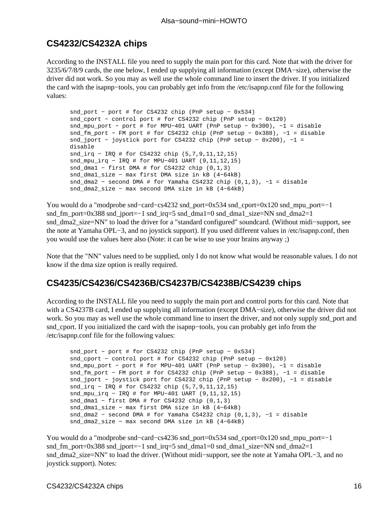#### <span id="page-19-0"></span>**CS4232/CS4232A chips**

According to the INSTALL file you need to supply the main port for this card. Note that with the driver for 3235/6/7/8/9 cards, the one below, I ended up supplying all information (except DMA−size), otherwise the driver did not work. So you may as well use the whole command line to insert the driver. If you initialized the card with the isapnp−tools, you can probably get info from the /etc/isapnp.conf file for the following values:

```
snd_port − port # for CS4232 chip (PnP setup − 0x534)
snd cport − control port # for CS4232 chip (PnP setup – 0x120)
snd_mpu_port − port # for MPU−401 UART (PnP setup − 0x300), −1 = disable
snd_fm_port − FM port # for CS4232 chip (PnP setup − 0x388), −1 = disable
snd_jport − joystick port for CS4232 chip (PnP setup − 0x200), −1 =
disable
snd irq − IRQ # for CS4232 chip (5,7,9,11,12,15)
snd_mpu_irq − IRQ # for MPU−401 UART (9,11,12,15)
snd_dma1 − first DMA # for CS4232 chip (0,1,3)
snd_dma1_size − max first DMA size in kB (4−64kB)
snd_dma2 − second DMA # for Yamaha CS4232 chip (0,1,3), −1 = disable
snd_dma2_size − max second DMA size in kB (4−64kB)
```
You would do a "modprobe snd−card−cs4232 snd\_port=0x534 snd\_cport=0x120 snd\_mpu\_port=−1 snd\_fm\_port=0x388 snd\_jport=−1 snd\_irq=5 snd\_dma1=0 snd\_dma1\_size=NN snd\_dma2=1 snd\_dma2\_size=NN" to load the driver for a "standard configured" soundcard. (Without midi−support, see the note at Yamaha OPL−3, and no joystick support). If you used different values in /etc/isapnp.conf, then you would use the values here also (Note: it can be wise to use your brains anyway ;)

Note that the "NN" values need to be supplied, only I do not know what would be reasonable values. I do not know if the dma size option is really required.

#### **CS4235/CS4236/CS4236B/CS4237B/CS4238B/CS4239 chips**

According to the INSTALL file you need to supply the main port and control ports for this card. Note that with a CS4237B card, I ended up supplying all information (except DMA−size), otherwise the driver did not work. So you may as well use the whole command line to insert the driver, and not only supply snd\_port and snd\_cport. If you initialized the card with the isapnp−tools, you can probably get info from the /etc/isapnp.conf file for the following values:

```
snd_port − port # for CS4232 chip (PnP setup − 0x534)
snd_cport − control port # for CS4232 chip (PnP setup − 0x120)
snd_mpu_port − port # for MPU−401 UART (PnP setup − 0x300), −1 = disable
snd_fm_port − FM port # for CS4232 chip (PnP setup − 0x388), −1 = disable
snd_jport − joystick port for CS4232 chip (PnP setup − 0x200), −1 = disable
snd_irq − IRQ # for CS4232 chip (5,7,9,11,12,15)
snd_mpu_irq − IRQ # for MPU−401 UART (9,11,12,15)
snd_dma1 − first DMA # for CS4232 chip (0,1,3)
snd_dma1_size − max first DMA size in kB (4−64kB)
snd dma2 - second DMA # for Yamaha CS4232 chip (0,1,3), -1 = disable
snd dma2 size − max second DMA size in kB (4-64kB)
```
You would do a "modprobe snd–card–cs4236 snd\_port=0x534 snd\_cport=0x120 snd\_mpu\_port=−1 snd\_fm\_port=0x388 snd\_jport=−1 snd\_irq=5 snd\_dma1=0 snd\_dma1\_size=NN snd\_dma2=1 snd\_dma2\_size=NN" to load the driver. (Without midi−support, see the note at Yamaha OPL−3, and no joystick support). Notes: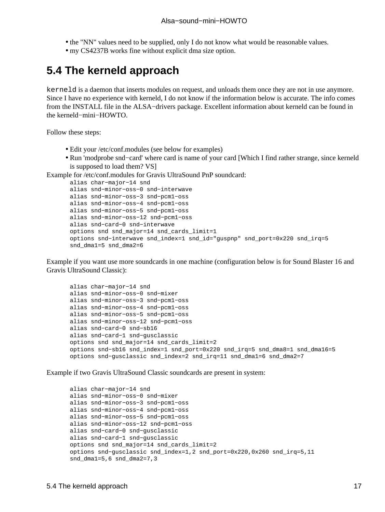- <span id="page-20-0"></span>• the "NN" values need to be supplied, only I do not know what would be reasonable values.
- my CS4237B works fine without explicit dma size option.

### **5.4 The kerneld approach**

kerneld is a daemon that inserts modules on request, and unloads them once they are not in use anymore. Since I have no experience with kerneld, I do not know if the information below is accurate. The info comes from the INSTALL file in the ALSA−drivers package. Excellent information about kerneld can be found in the kerneld−mini−HOWTO.

Follow these steps:

- Edit your /etc/conf.modules (see below for examples)
- Run 'modprobe snd−card' where card is name of your card [Which I find rather strange, since kerneld is supposed to load them? VS]

Example for /etc/conf.modules for Gravis UltraSound PnP soundcard:

```
alias char−major−14 snd
alias snd−minor−oss−0 snd−interwave
alias snd−minor−oss−3 snd−pcm1−oss
alias snd−minor−oss−4 snd−pcm1−oss
alias snd−minor−oss−5 snd−pcm1−oss
alias snd−minor−oss−12 snd−pcm1−oss
alias snd−card−0 snd−interwave
options snd snd_major=14 snd_cards_limit=1
options snd−interwave snd_index=1 snd_id="guspnp" snd_port=0x220 snd_irq=5
snd_dma1=5 snd_dma2=6
```
Example if you want use more soundcards in one machine (configuration below is for Sound Blaster 16 and Gravis UltraSound Classic):

```
alias char−major−14 snd
alias snd−minor−oss−0 snd−mixer
alias snd−minor−oss−3 snd−pcm1−oss
alias snd−minor−oss−4 snd−pcm1−oss
alias snd−minor−oss−5 snd−pcm1−oss
alias snd−minor−oss−12 snd−pcm1−oss
alias snd−card−0 snd−sb16
alias snd−card−1 snd−gusclassic
options snd snd_major=14 snd_cards_limit=2
options snd−sb16 snd_index=1 snd_port=0x220 snd_irq=5 snd_dma8=1 snd_dma16=5
options snd−gusclassic snd_index=2 snd_irq=11 snd_dma1=6 snd_dma2=7
```
Example if two Gravis UltraSound Classic soundcards are present in system:

```
alias char−major−14 snd
alias snd−minor−oss−0 snd−mixer
alias snd−minor−oss−3 snd−pcm1−oss
alias snd−minor−oss−4 snd−pcm1−oss
alias snd−minor−oss−5 snd−pcm1−oss
alias snd−minor−oss−12 snd−pcm1−oss
alias snd−card−0 snd−gusclassic
alias snd−card−1 snd−gusclassic
options snd snd_major=14 snd_cards_limit=2
options snd−gusclassic snd_index=1,2 snd_port=0x220,0x260 snd_irq=5,11
snd_dma1=5,6 snd_dma2=7,3
```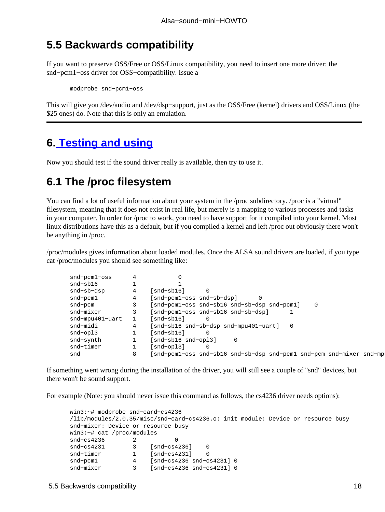### <span id="page-21-0"></span>**5.5 Backwards compatibility**

If you want to preserve OSS/Free or OSS/Linux compatibility, you need to insert one more driver: the snd−pcm1−oss driver for OSS−compatibility. Issue a

modprobe snd−pcm1−oss

This will give you /dev/audio and /dev/dsp−support, just as the OSS/Free (kernel) drivers and OSS/Linux (the \$25 ones) do. Note that this is only an emulation.

### **6[. Testing and using](#page-5-0)**

Now you should test if the sound driver really is available, then try to use it.

### **6.1 The /proc filesystem**

You can find a lot of useful information about your system in the /proc subdirectory. /proc is a "virtual" filesystem, meaning that it does not exist in real life, but merely is a mapping to various processes and tasks in your computer. In order for /proc to work, you need to have support for it compiled into your kernel. Most linux distributions have this as a default, but if you compiled a kernel and left /proc out obviously there won't be anything in /proc.

/proc/modules gives information about loaded modules. Once the ALSA sound drivers are loaded, if you type cat /proc/modules you should see something like:

| snd-pcml-oss    |                                                                         |
|-----------------|-------------------------------------------------------------------------|
| snd-sb16        |                                                                         |
| snd-sb-dsp      | snd-sb16]                                                               |
| snd-pcm1        | snd-pcml-oss snd-sb-dsp]                                                |
| snd-pcm         | [snd-pcml-oss snd-sb16 snd-sb-dsp snd-pcml]<br>$\Omega$                 |
| snd-mixer       | [snd-pcm1-oss snd-sb16 snd-sb-dsp]                                      |
| snd-mpu401-uart | snd-sb16]                                                               |
| snd-midi        | [snd-sb16 snd-sb-dsp snd-mpu401-uart]                                   |
| snd-opl3        | snd-sb16]                                                               |
| snd-synth       | snd-sb16 snd-op13]<br>$\Omega$                                          |
| snd-timer       | snd-opl3]                                                               |
| snd             | [snd-pcm1-oss snd-sb16 snd-sb-dsp snd-pcm1 snd-pcm snd-mixer snd-mpu401 |
|                 |                                                                         |

If something went wrong during the installation of the driver, you will still see a couple of "snd" devices, but there won't be sound support.

For example (Note: you should never issue this command as follows, the cs4236 driver needs options):

```
win3:~# modprobe snd−card−cs4236
/lib/modules/2.0.35/misc/snd−card−cs4236.o: init_module: Device or resource busy
snd−mixer: Device or resource busy
win3:~# cat /proc/modules
snd−cs4236 2 0
snd−cs4231 3 [snd−cs4236] 0
snd−timer 1 [snd−cs4231] 0
snd−pcm1 4 [snd−cs4236 snd−cs4231] 0
snd−mixer 3 [snd−cs4236 snd−cs4231] 0
```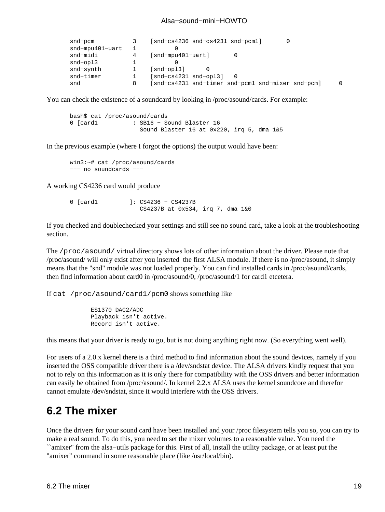<span id="page-22-0"></span>

| snd-pcm                |   | $[snd-cs4236 \text{ snd-cs4231 \text{ snd-pcm1}}]$ |          |
|------------------------|---|----------------------------------------------------|----------|
| $snd$ -mpu $401$ -uart |   |                                                    |          |
| snd-midi               | 4 | $[snd-mpu401-uart]$                                |          |
| snd-opl3               |   |                                                    |          |
| snd-synth              |   | $[snd-opt3]$                                       |          |
| snd-timer              |   | $[snd-cs4231 \; snd-op13]$                         |          |
| snd                    | 8 | [snd-cs4231 snd-timer snd-pcm1 snd-mixer snd-pcm]  | $\Omega$ |

You can check the existence of a soundcard by looking in /proc/asound/cards. For example:

```
bash$ cat /proc/asound/cards
0 [card1 : SB16 − Sound Blaster 16
                  Sound Blaster 16 at 0x220, irq 5, dma 1&5
```
In the previous example (where I forgot the options) the output would have been:

```
win3:~# cat /proc/asound/cards
−−− no soundcards −−−
```
A working CS4236 card would produce

```
0 [card1 ]: CS4236 − CS4237B
                  CS4237B at 0x534, irq 7, dma 1&0
```
If you checked and doublechecked your settings and still see no sound card, take a look at the troubleshooting section.

The /proc/asound/ virtual directory shows lots of other information about the driver. Please note that /proc/asound/ will only exist after you inserted the first ALSA module. If there is no /proc/asound, it simply means that the "snd" module was not loaded properly. You can find installed cards in /proc/asound/cards, then find information about card0 in /proc/asound/0, /proc/asound/1 for card1 etcetera.

If cat /proc/asound/card1/pcm0 shows something like

```
 ES1370 DAC2/ADC
 Playback isn't active.
 Record isn't active.
```
this means that your driver is ready to go, but is not doing anything right now. (So everything went well).

For users of a 2.0.x kernel there is a third method to find information about the sound devices, namely if you inserted the OSS compatible driver there is a /dev/sndstat device. The ALSA drivers kindly request that you not to rely on this information as it is only there for compatibility with the OSS drivers and better information can easily be obtained from /proc/asound/. In kernel 2.2.x ALSA uses the kernel soundcore and therefor cannot emulate /dev/sndstat, since it would interfere with the OSS drivers.

### **6.2 The mixer**

Once the drivers for your sound card have been installed and your /proc filesystem tells you so, you can try to make a real sound. To do this, you need to set the mixer volumes to a reasonable value. You need the ``amixer'' from the alsa−utils package for this. First of all, install the utility package, or at least put the "amixer" command in some reasonable place (like /usr/local/bin).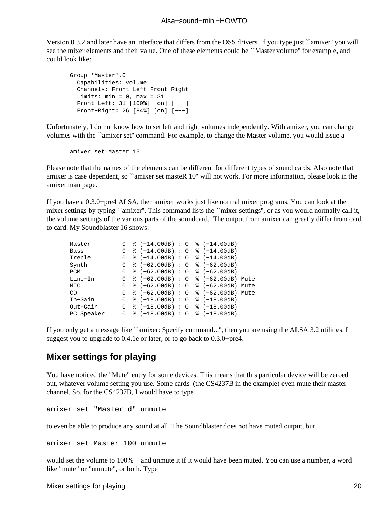<span id="page-23-0"></span>Version 0.3.2 and later have an interface that differs from the OSS drivers. If you type just ``amixer'' you will see the mixer elements and their value. One of these elements could be ``Master volume'' for example, and could look like:

```
Group 'Master',0
   Capabilities: volume
   Channels: Front−Left Front−Right 
  Limits: min = 0, max = 31 Front−Left: 31 [100%] [on] [−−−]
   Front−Right: 26 [84%] [on] [−−−]
```
Unfortunately, I do not know how to set left and right volumes independently. With amixer, you can change volumes with the ``amixer set'' command. For example, to change the Master volume, you would issue a

amixer set Master 15

Please note that the names of the elements can be different for different types of sound cards. Also note that amixer is case dependent, so ``amixer set masteR 10'' will not work. For more information, please look in the amixer man page.

If you have a 0.3.0−pre4 ALSA, then amixer works just like normal mixer programs. You can look at the mixer settings by typing ``amixer". This command lists the ``mixer settings", or as you would normally call it, the volume settings of the various parts of the soundcard. The output from amixer can greatly differ from card to card. My Soundblaster 16 shows:

| Master     | 0              | $% (-14.00dB) : 0$                                                       |  | $% (-14.00dB)$ |  |
|------------|----------------|--------------------------------------------------------------------------|--|----------------|--|
| Bass       |                | $0 \text{ }$ $\text{*}$ (-14.00dB) : 0 $\text{*}$ (-14.00dB)             |  |                |  |
| Treble     | 0              | $\{ -14.00dB \}$ : 0 $\{ -14.00dB \}$                                    |  |                |  |
| Synth      |                | $0 \text{ }$ $\text{*}$ (-62.00dB) : 0 $\text{*}$ (-62.00dB)             |  |                |  |
| PCM        | $\overline{0}$ | $\frac{1}{2}$ (-62.00dB) : 0 $\frac{1}{2}$ (-62.00dB)                    |  |                |  |
| Line-In    |                | $0 \text{ }$ $\text{*}$ (-62.00dB) : 0 $\text{*}$ (-62.00dB) Mute        |  |                |  |
| MIC        |                | $0 \text{ }$ % (-62.00dB) : 0 % (-62.00dB) Mute                          |  |                |  |
| CD         |                | $0 \text{ } 8 (-62.00 \text{dB}) : 0 \text{ } 8 (-62.00 \text{dB})$ Mute |  |                |  |
| In-Gain    |                | $0 \text{ }$ $\text{*}$ (-18.00dB) : 0 $\text{*}$ (-18.00dB)             |  |                |  |
| Out-Gain   |                | $0 \text{ }$ $\text{*}$ (-18.00dB) : 0 $\text{*}$ (-18.00dB)             |  |                |  |
| PC Speaker |                | $0 \text{ }$ $\text{*}$ (-18.00dB) : 0 $\text{*}$ (-18.00dB)             |  |                |  |

If you only get a message like ``amixer: Specify command...", then you are using the ALSA 3.2 utilities. I suggest you to upgrade to 0.4.1e or later, or to go back to 0.3.0−pre4.

#### **Mixer settings for playing**

You have noticed the "Mute" entry for some devices. This means that this particular device will be zeroed out, whatever volume setting you use. Some cards (the CS4237B in the example) even mute their master channel. So, for the CS4237B, I would have to type

amixer set "Master d" unmute

to even be able to produce any sound at all. The Soundblaster does not have muted output, but

amixer set Master 100 unmute

would set the volume to 100% – and unmute it if it would have been muted. You can use a number, a word like "mute" or "unmute", or both. Type

Mixer settings for playing 20 and the settings of playing 20 and the settings of playing 20 and the settings of  $\sim$  20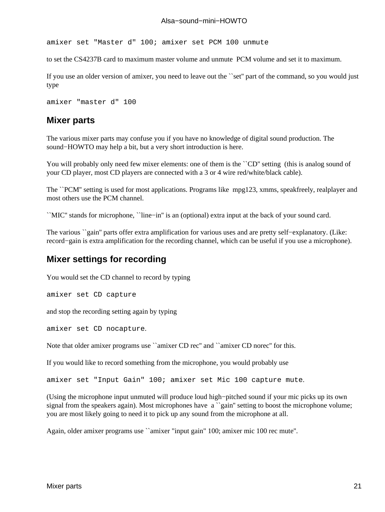<span id="page-24-0"></span>amixer set "Master d" 100; amixer set PCM 100 unmute

to set the CS4237B card to maximum master volume and unmute PCM volume and set it to maximum.

If you use an older version of amixer, you need to leave out the ``set'' part of the command, so you would just type

```
amixer "master d" 100
```
#### **Mixer parts**

The various mixer parts may confuse you if you have no knowledge of digital sound production. The sound−HOWTO may help a bit, but a very short introduction is here.

You will probably only need few mixer elements: one of them is the ``CD'' setting (this is analog sound of your CD player, most CD players are connected with a 3 or 4 wire red/white/black cable).

The ``PCM'' setting is used for most applications. Programs like mpg123, xmms, speakfreely, realplayer and most others use the PCM channel.

``MIC'' stands for microphone, ``line−in'' is an (optional) extra input at the back of your sound card.

The various ``gain'' parts offer extra amplification for various uses and are pretty self–explanatory. (Like: record−gain is extra amplification for the recording channel, which can be useful if you use a microphone).

#### **Mixer settings for recording**

You would set the CD channel to record by typing

amixer set CD capture

and stop the recording setting again by typing

amixer set CD nocapture.

Note that older amixer programs use "amixer CD rec" and "amixer CD norec" for this.

If you would like to record something from the microphone, you would probably use

amixer set "Input Gain" 100; amixer set Mic 100 capture mute.

(Using the microphone input unmuted will produce loud high−pitched sound if your mic picks up its own signal from the speakers again). Most microphones have a "gain" setting to boost the microphone volume; you are most likely going to need it to pick up any sound from the microphone at all.

Again, older amixer programs use ``amixer "input gain" 100; amixer mic 100 rec mute''.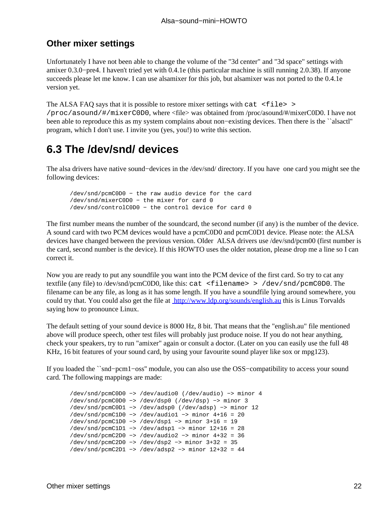#### <span id="page-25-0"></span>**Other mixer settings**

Unfortunately I have not been able to change the volume of the "3d center" and "3d space" settings with amixer 0.3.0−pre4. I haven't tried yet with 0.4.1e (this particular machine is still running 2.0.38). If anyone succeeds please let me know. I can use alsamixer for this job, but alsamixer was not ported to the 0.4.1e version yet.

The ALSA FAQ says that it is possible to restore mixer settings with cat  $\leq$  file  $>$ /proc/asound/#/mixerC0D0, where <file> was obtained from /proc/asound/#/mixerC0D0. I have not been able to reproduce this as my system complains about non−existing devices. Then there is the ``alsactl'' program, which I don't use. I invite you (yes, you!) to write this section.

### **6.3 The /dev/snd/ devices**

The alsa drivers have native sound−devices in the /dev/snd/ directory. If you have one card you might see the following devices:

```
/dev/snd/pcmC0D0 − the raw audio device for the card
/dev/snd/mixerC0D0 − the mixer for card 0
/dev/snd/controlC0D0 − the control device for card 0
```
The first number means the number of the soundcard, the second number (if any) is the number of the device. A sound card with two PCM devices would have a pcmC0D0 and pcmC0D1 device. Please note: the ALSA devices have changed between the previous version. Older ALSA drivers use /dev/snd/pcm00 (first number is the card, second number is the device). If this HOWTO uses the older notation, please drop me a line so I can correct it.

Now you are ready to put any soundfile you want into the PCM device of the first card. So try to cat any textfile (any file) to /dev/snd/pcmC0D0, like this: cat <filename> > /dev/snd/pcmC0D0. The filename can be any file, as long as it has some length. If you have a soundfile lying around somewhere, you could try that. You could also get the file at<http://www.ldp.org/sounds/english.au>this is Linus Torvalds saying how to pronounce Linux.

The default setting of your sound device is 8000 Hz, 8 bit. That means that the "english.au" file mentioned above will produce speech, other test files will probably just produce noise. If you do not hear anything, check your speakers, try to run "amixer" again or consult a doctor. (Later on you can easily use the full 48 KHz, 16 bit features of your sound card, by using your favourite sound player like sox or mpg123).

If you loaded the ``snd−pcm1−oss'' module, you can also use the OSS−compatibility to access your sound card. The following mappings are made:

```
/dev/snd/pcmC0D0 −> /dev/audio0 (/dev/audio) −> minor 4
/dev/snd/pcmC0D0 −> /dev/dsp0 (/dev/dsp) −> minor 3
/dev/snd/pcmC0D1 −> /dev/adsp0 (/dev/adsp) −> minor 12
/dev/snd/pcmC1D0 −> /dev/audio1 −> minor 4+16 = 20
/dev/snd/pcmC1D0 −> /dev/dsp1 −> minor 3+16 = 19
/dev/snd/pcmC1D1 −> /dev/adsp1 −> minor 12+16 = 28
/dev/snd/pcmC2D0 −> /dev/audio2 −> minor 4+32 = 36
/dev/snd/pcmC2D0 −> /dev/dsp2 −> minor 3+32 = 35
/dev/snd/pcmC2D1 −> /dev/adsp2 −> minor 12+32 = 44
```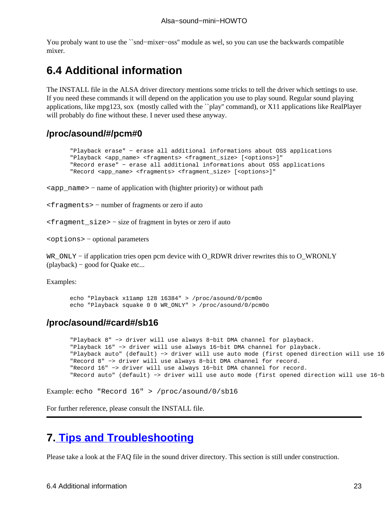<span id="page-26-0"></span>You probaly want to use the ``snd−mixer−oss'' module as wel, so you can use the backwards compatible mixer.

### **6.4 Additional information**

The INSTALL file in the ALSA driver directory mentions some tricks to tell the driver which settings to use. If you need these commands it will depend on the application you use to play sound. Regular sound playing applications, like mpg123, sox (mostly called with the ``play'' command), or X11 applications like RealPlayer will probably do fine without these. I never used these anyway.

#### **/proc/asound/#/pcm#0**

```
"Playback erase" − erase all additional informations about OSS applications
"Playback <app_name> <fragments> <fragment_size> [<options>]"
"Record erase" − erase all additional informations about OSS applications
"Record <app_name> <fragments> <fragment_size> [<options>]"
```
<app\_name> − name of application with (highter priority) or without path

<fragments> − number of fragments or zero if auto

<fragment\_size> − size of fragment in bytes or zero if auto

<options> − optional parameters

WR\_ONLY – if application tries open pcm device with O\_RDWR driver rewrites this to O\_WRONLY (playback) − good for Quake etc...

Examples:

echo "Playback x11amp 128 16384" > /proc/asound/0/pcm0o echo "Playback squake 0 0 WR\_ONLY" > /proc/asound/0/pcm0o

#### **/proc/asound/#card#/sb16**

```
"Playback 8" −> driver will use always 8−bit DMA channel for playback.
"Playback 16" −> driver will use always 16−bit DMA channel for playback.
"Playback auto" (default) -> driver will use auto mode (first opened direction will use 16-bi
"Record 8" −> driver will use always 8−bit DMA channel for record.
"Record 16" −> driver will use always 16−bit DMA channel for record.
"Record auto" (default) -> driver will use auto mode (first opened direction will use 16-bit D
```

```
Example: echo "Record 16" > /proc/asound/0/sb16
```
For further reference, please consult the INSTALL file.

### **7[. Tips and Troubleshooting](#page-5-0)**

Please take a look at the FAQ file in the sound driver directory. This section is still under construction.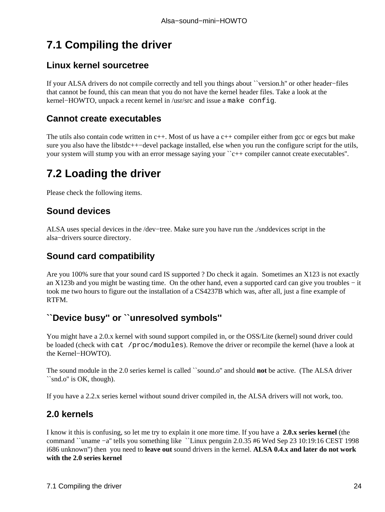# <span id="page-27-0"></span>**7.1 Compiling the driver**

#### **Linux kernel sourcetree**

If your ALSA drivers do not compile correctly and tell you things about ``version.h'' or other header−files that cannot be found, this can mean that you do not have the kernel header files. Take a look at the kernel−HOWTO, unpack a recent kernel in /usr/src and issue a make config.

#### **Cannot create executables**

The utils also contain code written in  $c++$ . Most of us have a  $c++$  compiler either from gcc or egcs but make sure you also have the libstdc++−devel package installed, else when you run the configure script for the utils, your system will stump you with an error message saying your "c++ compiler cannot create executables".

## **7.2 Loading the driver**

Please check the following items.

#### **Sound devices**

ALSA uses special devices in the /dev−tree. Make sure you have run the ./snddevices script in the alsa−drivers source directory.

#### **Sound card compatibility**

Are you 100% sure that your sound card IS supported ? Do check it again. Sometimes an X123 is not exactly an X123b and you might be wasting time. On the other hand, even a supported card can give you troubles − it took me two hours to figure out the installation of a CS4237B which was, after all, just a fine example of RTFM.

#### **``Device busy'' or ``unresolved symbols''**

You might have a 2.0.x kernel with sound support compiled in, or the OSS/Lite (kernel) sound driver could be loaded (check with cat /proc/modules). Remove the driver or recompile the kernel (have a look at the Kernel−HOWTO).

The sound module in the 2.0 series kernel is called ``sound.o'' and should **not** be active. (The ALSA driver ``snd.o'' is OK, though).

If you have a 2.2.x series kernel without sound driver compiled in, the ALSA drivers will not work, too.

#### **2.0 kernels**

I know it this is confusing, so let me try to explain it one more time. If you have a **2.0.x series kernel** (the command ``uname −a'' tells you something like ``Linux penguin 2.0.35 #6 Wed Sep 23 10:19:16 CEST 1998 i686 unknown'') then you need to **leave out** sound drivers in the kernel. **ALSA 0.4.x and later do not work with the 2.0 series kernel**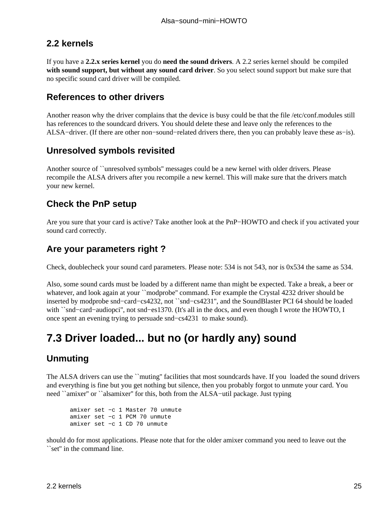#### <span id="page-28-0"></span>**2.2 kernels**

If you have a **2.2.x series kernel** you do **need the sound drivers**. A 2.2 series kernel should be compiled **with sound support, but without any sound card driver**. So you select sound support but make sure that no specific sound card driver will be compiled.

#### **References to other drivers**

Another reason why the driver complains that the device is busy could be that the file /etc/conf.modules still has references to the soundcard drivers. You should delete these and leave only the references to the ALSA−driver. (If there are other non−sound−related drivers there, then you can probably leave these as−is).

#### **Unresolved symbols revisited**

Another source of ``unresolved symbols'' messages could be a new kernel with older drivers. Please recompile the ALSA drivers after you recompile a new kernel. This will make sure that the drivers match your new kernel.

#### **Check the PnP setup**

Are you sure that your card is active? Take another look at the PnP−HOWTO and check if you activated your sound card correctly.

#### **Are your parameters right ?**

Check, doublecheck your sound card parameters. Please note: 534 is not 543, nor is 0x534 the same as 534.

Also, some sound cards must be loaded by a different name than might be expected. Take a break, a beer or whatever, and look again at your ``modprobe'' command. For example the Crystal 4232 driver should be inserted by modprobe snd−card−cs4232, not ``snd−cs4231'', and the SoundBlaster PCI 64 should be loaded with ``snd−card−audiopci'', not snd−es1370. (It's all in the docs, and even though I wrote the HOWTO, I once spent an evening trying to persuade snd−cs4231 to make sound).

## **7.3 Driver loaded... but no (or hardly any) sound**

#### **Unmuting**

The ALSA drivers can use the ``muting'' facilities that most soundcards have. If you loaded the sound drivers and everything is fine but you get nothing but silence, then you probably forgot to unmute your card. You need ``amixer'' or ``alsamixer'' for this, both from the ALSA−util package. Just typing

```
amixer set −c 1 Master 70 unmute
amixer set −c 1 PCM 70 unmute
amixer set −c 1 CD 70 unmute
```
should do for most applications. Please note that for the older amixer command you need to leave out the ``set'' in the command line.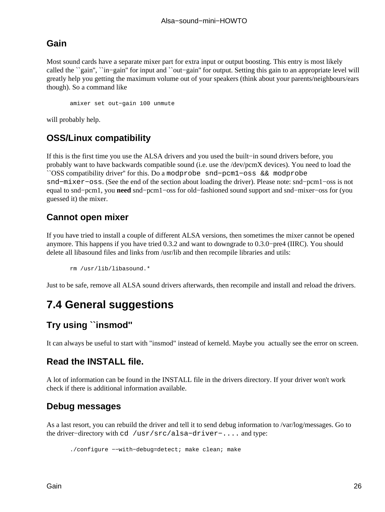#### <span id="page-29-0"></span>**Gain**

Most sound cards have a separate mixer part for extra input or output boosting. This entry is most likely called the ``gain'', ``in−gain'' for input and ``out−gain'' for output. Setting this gain to an appropriate level will greatly help you getting the maximum volume out of your speakers (think about your parents/neighbours/ears though). So a command like

amixer set out−gain 100 unmute

will probably help.

#### **OSS/Linux compatibility**

If this is the first time you use the ALSA drivers and you used the built−in sound drivers before, you probably want to have backwards compatible sound (i.e. use the /dev/pcmX devices). You need to load the ``OSS compatibility driver'' for this. Do a modprobe snd−pcm1−oss && modprobe snd−mixer−oss. (See the end of the section about loading the driver). Please note: snd−pcm1−oss is not equal to snd−pcm1, you **need** snd−pcm1−oss for old−fashioned sound support and snd−mixer−oss for (you guessed it) the mixer.

#### **Cannot open mixer**

If you have tried to install a couple of different ALSA versions, then sometimes the mixer cannot be opened anymore. This happens if you have tried 0.3.2 and want to downgrade to 0.3.0−pre4 (IIRC). You should delete all libasound files and links from /usr/lib and then recompile libraries and utils:

rm /usr/lib/libasound.\*

Just to be safe, remove all ALSA sound drivers afterwards, then recompile and install and reload the drivers.

## **7.4 General suggestions**

#### **Try using ``insmod''**

It can always be useful to start with "insmod" instead of kerneld. Maybe you actually see the error on screen.

#### **Read the INSTALL file.**

A lot of information can be found in the INSTALL file in the drivers directory. If your driver won't work check if there is additional information available.

#### **Debug messages**

As a last resort, you can rebuild the driver and tell it to send debug information to /var/log/messages. Go to the driver−directory with cd /usr/src/alsa−driver−.... and type:

./configure −−with−debug=detect; make clean; make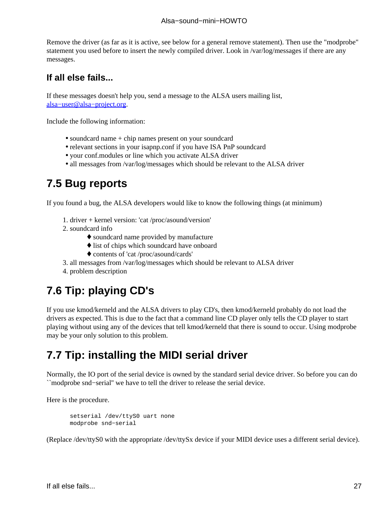#### Alsa−sound−mini−HOWTO

<span id="page-30-0"></span>Remove the driver (as far as it is active, see below for a general remove statement). Then use the "modprobe" statement you used before to insert the newly compiled driver. Look in /var/log/messages if there are any messages.

#### **If all else fails...**

If these messages doesn't help you, send a message to the ALSA users mailing list, [alsa−user@alsa−project.org](mailto:alsa-user@alsa-project.org).

Include the following information:

- soundcard name + chip names present on your soundcard
- relevant sections in your isapnp.conf if you have ISA PnP soundcard
- your conf.modules or line which you activate ALSA driver
- all messages from /var/log/messages which should be relevant to the ALSA driver

### **7.5 Bug reports**

If you found a bug, the ALSA developers would like to know the following things (at minimum)

- 1. driver + kernel version: 'cat /proc/asound/version'
- 2. soundcard info
	- ♦ soundcard name provided by manufacture
	- ♦ list of chips which soundcard have onboard
	- ♦ contents of 'cat /proc/asound/cards'
- 3. all messages from /var/log/messages which should be relevant to ALSA driver
- 4. problem description

## **7.6 Tip: playing CD's**

If you use kmod/kerneld and the ALSA drivers to play CD's, then kmod/kerneld probably do not load the drivers as expected. This is due to the fact that a command line CD player only tells the CD player to start playing without using any of the devices that tell kmod/kerneld that there is sound to occur. Using modprobe may be your only solution to this problem.

### **7.7 Tip: installing the MIDI serial driver**

Normally, the IO port of the serial device is owned by the standard serial device driver. So before you can do ``modprobe snd−serial'' we have to tell the driver to release the serial device.

Here is the procedure.

setserial /dev/ttyS0 uart none modprobe snd−serial

(Replace /dev/ttyS0 with the appropriate /dev/ttySx device if your MIDI device uses a different serial device).